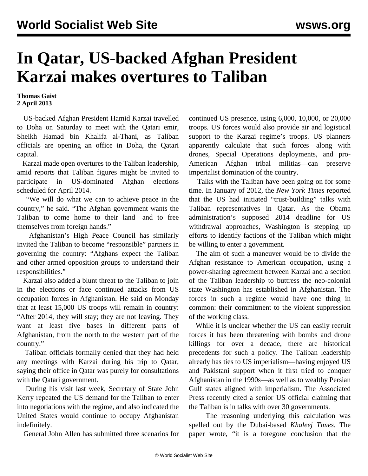## **In Qatar, US-backed Afghan President Karzai makes overtures to Taliban**

## **Thomas Gaist 2 April 2013**

 US-backed Afghan President Hamid Karzai travelled to Doha on Saturday to meet with the Qatari emir, Sheikh Hamad bin Khalifa al-Thani, as Taliban officials are opening an office in Doha, the Qatari capital.

 Karzai made open overtures to the Taliban leadership, amid reports that Taliban figures might be invited to participate in US-dominated Afghan elections scheduled for April 2014.

 "We will do what we can to achieve peace in the country," he said. "The Afghan government wants the Taliban to come home to their land—and to free themselves from foreign hands."

 Afghanistan's High Peace Council has similarly invited the Taliban to become "responsible" partners in governing the country: "Afghans expect the Taliban and other armed opposition groups to understand their responsibilities."

 Karzai also added a blunt threat to the Taliban to join in the elections or face continued attacks from US occupation forces in Afghanistan. He said on Monday that at least 15,000 US troops will remain in country: "After 2014, they will stay; they are not leaving. They want at least five bases in different parts of Afghanistan, from the north to the western part of the country."

 Taliban officials formally denied that they had held any meetings with Karzai during his trip to Qatar, saying their office in Qatar was purely for consultations with the Qatari government.

 During his visit last week, Secretary of State John Kerry repeated the US demand for the Taliban to enter into negotiations with the regime, and also indicated the United States would continue to occupy Afghanistan indefinitely.

General John Allen has submitted three scenarios for

continued US presence, using 6,000, 10,000, or 20,000 troops. US forces would also provide air and logistical support to the Karzai regime's troops. US planners apparently calculate that such forces—along with drones, Special Operations deployments, and pro-American Afghan tribal militias—can preserve imperialist domination of the country.

 Talks with the Taliban have been going on for some time. In January of 2012, the *New York Times* reported that the US had initiated "trust-building" talks with Taliban representatives in Qatar. As the Obama administration's supposed 2014 deadline for US withdrawal approaches, Washington is stepping up efforts to identify factions of the Taliban which might be willing to enter a government.

 The aim of such a maneuver would be to divide the Afghan resistance to American occupation, using a power-sharing agreement between Karzai and a section of the Taliban leadership to buttress the neo-colonial state Washington has established in Afghanistan. The forces in such a regime would have one thing in common: their commitment to the violent suppression of the working class.

 While it is unclear whether the US can easily recruit forces it has been threatening with bombs and drone killings for over a decade, there are historical precedents for such a policy. The Taliban leadership already has ties to US imperialism—having enjoyed US and Pakistani support when it first tried to conquer Afghanistan in the 1990s—as well as to wealthy Persian Gulf states aligned with imperialism. The Associated Press recently cited a senior US official claiming that the Taliban is in talks with over 30 governments.

 The reasoning underlying this calculation was spelled out by the Dubai-based *Khaleej Times*. The paper wrote, "it is a foregone conclusion that the